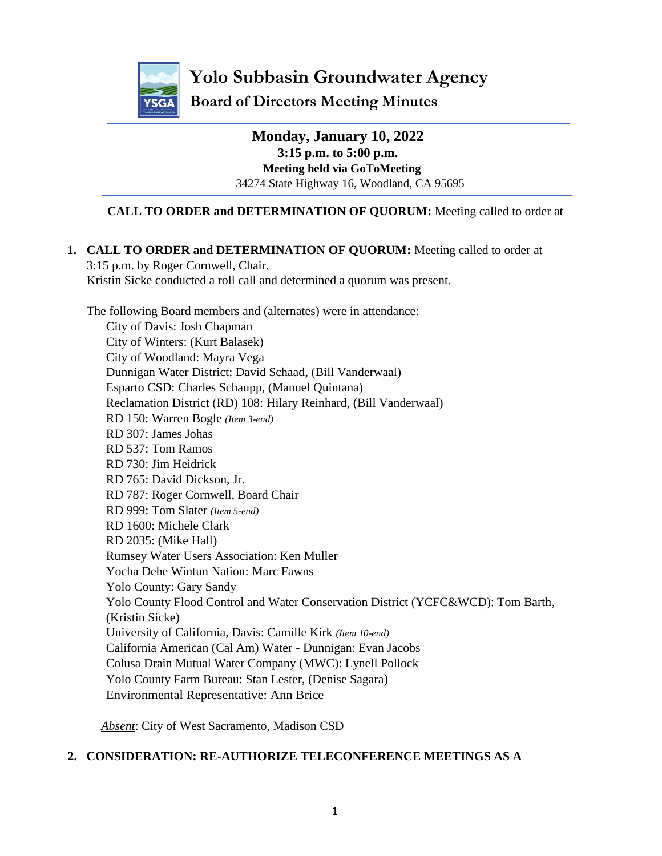

**Yolo Subbasin Groundwater Agency**

**Board of Directors Meeting Minutes**

**Monday, January 10, 2022 3:15 p.m. to 5:00 p.m. Meeting held via GoToMeeting** 34274 State Highway 16, Woodland, CA 95695

# **CALL TO ORDER and DETERMINATION OF QUORUM:** Meeting called to order at

## **1. CALL TO ORDER and DETERMINATION OF QUORUM:** Meeting called to order at

3:15 p.m. by Roger Cornwell, Chair. Kristin Sicke conducted a roll call and determined a quorum was present.

The following Board members and (alternates) were in attendance:

City of Davis: Josh Chapman City of Winters: (Kurt Balasek) City of Woodland: Mayra Vega Dunnigan Water District: David Schaad, (Bill Vanderwaal) Esparto CSD: Charles Schaupp, (Manuel Quintana) Reclamation District (RD) 108: Hilary Reinhard, (Bill Vanderwaal) RD 150: Warren Bogle *(Item 3-end)* RD 307: James Johas RD 537: Tom Ramos RD 730: Jim Heidrick RD 765: David Dickson, Jr. RD 787: Roger Cornwell, Board Chair RD 999: Tom Slater *(Item 5-end)* RD 1600: Michele Clark RD 2035: (Mike Hall) Rumsey Water Users Association: Ken Muller Yocha Dehe Wintun Nation: Marc Fawns Yolo County: Gary Sandy Yolo County Flood Control and Water Conservation District (YCFC&WCD): Tom Barth, (Kristin Sicke) University of California, Davis: Camille Kirk *(Item 10-end)* California American (Cal Am) Water - Dunnigan: Evan Jacobs Colusa Drain Mutual Water Company (MWC): Lynell Pollock Yolo County Farm Bureau: Stan Lester, (Denise Sagara) Environmental Representative: Ann Brice

*Absent*: City of West Sacramento, Madison CSD

#### **2. CONSIDERATION: RE-AUTHORIZE TELECONFERENCE MEETINGS AS A**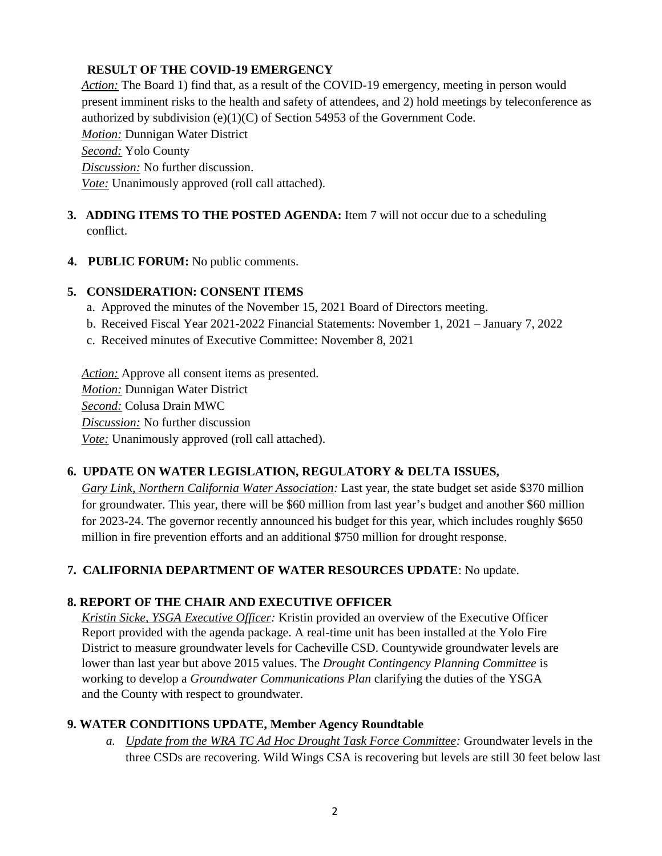#### **RESULT OF THE COVID-19 EMERGENCY**

*Action:* The Board 1) find that, as a result of the COVID-19 emergency, meeting in person would present imminent risks to the health and safety of attendees, and 2) hold meetings by teleconference as authorized by subdivision (e)(1)(C) of Section 54953 of the Government Code.

*Motion:* Dunnigan Water District

*Second:* Yolo County

*Discussion:* No further discussion.

*Vote:* Unanimously approved (roll call attached).

### **3. ADDING ITEMS TO THE POSTED AGENDA:** Item 7 will not occur due to a scheduling conflict.

**4. PUBLIC FORUM:** No public comments.

### **5. CONSIDERATION: CONSENT ITEMS**

- a. Approved the minutes of the November 15, 2021 Board of Directors meeting.
- b. Received Fiscal Year 2021-2022 Financial Statements: November 1, 2021 January 7, 2022
- c. Received minutes of Executive Committee: November 8, 2021

*Action:* Approve all consent items as presented. *Motion:* Dunnigan Water District *Second:* Colusa Drain MWC *Discussion:* No further discussion *Vote:* Unanimously approved (roll call attached).

### **6. UPDATE ON WATER LEGISLATION, REGULATORY & DELTA ISSUES,**

*Gary Link, Northern California Water Association:* Last year, the state budget set aside \$370 million for groundwater. This year, there will be \$60 million from last year's budget and another \$60 million for 2023-24. The governor recently announced his budget for this year, which includes roughly \$650 million in fire prevention efforts and an additional \$750 million for drought response.

### **7. CALIFORNIA DEPARTMENT OF WATER RESOURCES UPDATE**: No update.

### **8. REPORT OF THE CHAIR AND EXECUTIVE OFFICER**

*Kristin Sicke, YSGA Executive Officer:* Kristin provided an overview of the Executive Officer Report provided with the agenda package. A real-time unit has been installed at the Yolo Fire District to measure groundwater levels for Cacheville CSD. Countywide groundwater levels are lower than last year but above 2015 values. The *Drought Contingency Planning Committee* is working to develop a *Groundwater Communications Plan* clarifying the duties of the YSGA and the County with respect to groundwater.

### **9. WATER CONDITIONS UPDATE, Member Agency Roundtable**

*a. Update from the WRA TC Ad Hoc Drought Task Force Committee:* Groundwater levels in the three CSDs are recovering. Wild Wings CSA is recovering but levels are still 30 feet below last